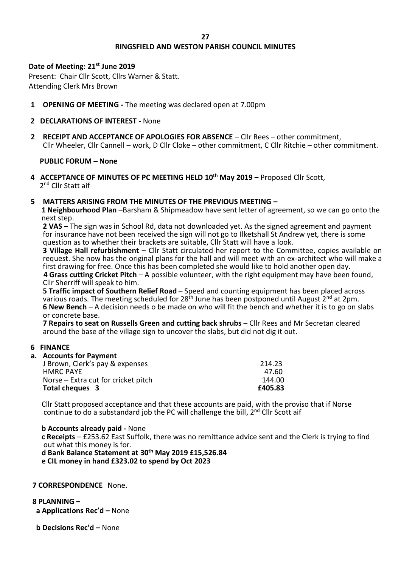#### **27**

# **RINGSFIELD AND WESTON PARISH COUNCIL MINUTES**

# **Date of Meeting: 21st June 2019**

Present: Chair Cllr Scott, Cllrs Warner & Statt. Attending Clerk Mrs Brown

**1 OPENING OF MEETING -** The meeting was declared open at 7.00pm

# **2 DECLARATIONS OF INTEREST -** None

**2 RECEIPT AND ACCEPTANCE OF APOLOGIES FOR ABSENCE** – Cllr Rees – other commitment, Cllr Wheeler, Cllr Cannell – work, D Cllr Cloke – other commitment, C Cllr Ritchie – other commitment.

## **PUBLIC FORUM – None**

**4 ACCEPTANCE OF MINUTES OF PC MEETING HELD 10th May 2019 –** Proposed Cllr Scott, 2<sup>nd</sup> Cllr Statt aif

## **5 MATTERS ARISING FROM THE MINUTES OF THE PREVIOUS MEETING –**

 **1 Neighbourhood Plan** –Barsham & Shipmeadow have sent letter of agreement, so we can go onto the next step.

**2 VAS –** The sign was in School Rd, data not downloaded yet. As the signed agreement and payment for insurance have not been received the sign will not go to Ilketshall St Andrew yet, there is some question as to whether their brackets are suitable, Cllr Statt will have a look.

**3 Village Hall refurbishment** – Cllr Statt circulated her report to the Committee, copies available on request. She now has the original plans for the hall and will meet with an ex-architect who will make a first drawing for free. Once this has been completed she would like to hold another open day.  **4 Grass cutting Cricket Pitch** – A possible volunteer, with the right equipment may have been found,

Cllr Sherriff will speak to him.

**5 Traffic impact of Southern Relief Road** – Speed and counting equipment has been placed across various roads. The meeting scheduled for  $28<sup>th</sup>$  June has been postponed until August  $2<sup>nd</sup>$  at 2pm. **6 New Bench** – A decision needs o be made on who will fit the bench and whether it is to go on slabs or concrete base.

**7 Repairs to seat on Russells Green and cutting back shrubs** – Cllr Rees and Mr Secretan cleared around the base of the village sign to uncover the slabs, but did not dig it out.

### **6 FINANCE**

# **a. Accounts for Payment**

| 214.23  |
|---------|
| 47.60   |
| 144.00  |
| £405.83 |
|         |

Cllr Statt proposed acceptance and that these accounts are paid, with the proviso that if Norse continue to do a substandard job the PC will challenge the bill, 2<sup>nd</sup> Cllr Scott aif

 **b Accounts already paid -** None  **c Receipts** – £253.62 East Suffolk, there was no remittance advice sent and the Clerk is trying to find out what this money is for.  **d Bank Balance Statement at 30th May 2019 £15,526.84 e CIL money in hand £323.02 to spend by Oct 2023**

### **7 CORRESPONDENCE** None.

**8 PLANNING – a Applications Rec'd –** None

**b Decisions Rec'd –** None